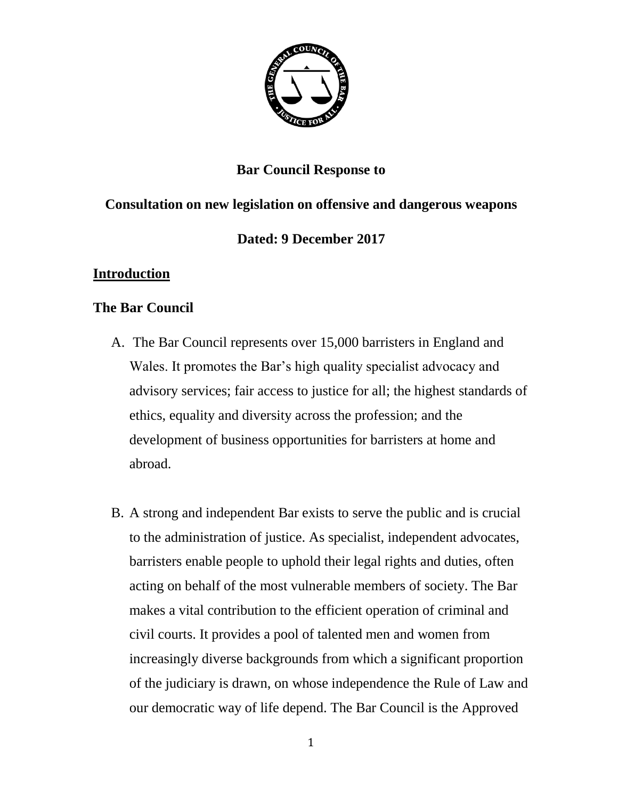

### **Bar Council Response to**

## **Consultation on new legislation on offensive and dangerous weapons**

### **Dated: 9 December 2017**

### **Introduction**

#### **The Bar Council**

- A. The Bar Council represents over 15,000 barristers in England and Wales. It promotes the Bar's high quality specialist advocacy and advisory services; fair access to justice for all; the highest standards of ethics, equality and diversity across the profession; and the development of business opportunities for barristers at home and abroad.
- B. A strong and independent Bar exists to serve the public and is crucial to the administration of justice. As specialist, independent advocates, barristers enable people to uphold their legal rights and duties, often acting on behalf of the most vulnerable members of society. The Bar makes a vital contribution to the efficient operation of criminal and civil courts. It provides a pool of talented men and women from increasingly diverse backgrounds from which a significant proportion of the judiciary is drawn, on whose independence the Rule of Law and our democratic way of life depend. The Bar Council is the Approved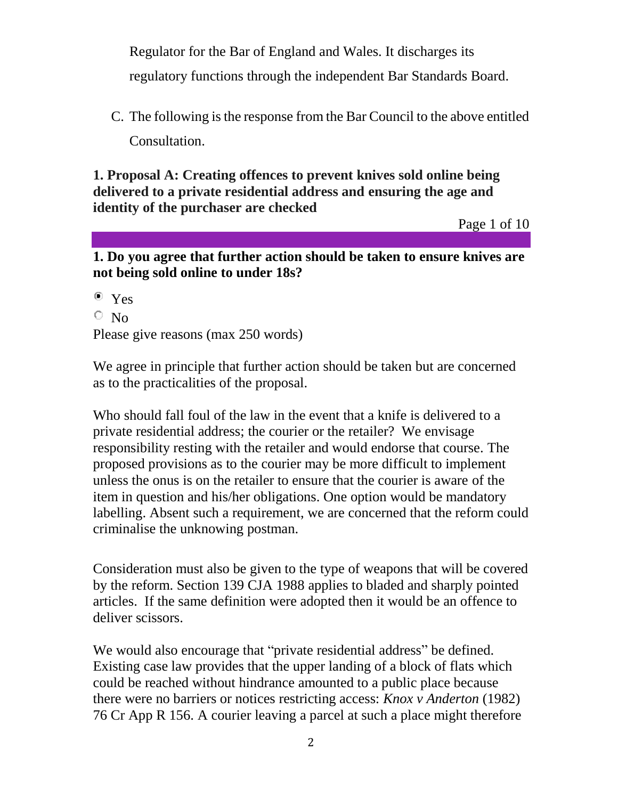Regulator for the Bar of England and Wales. It discharges its regulatory functions through the independent Bar Standards Board.

C. The following is the response from the Bar Council to the above entitled Consultation.

**1. Proposal A: Creating offences to prevent knives sold online being delivered to a private residential address and ensuring the age and identity of the purchaser are checked**

Page 1 of 10

**1. Do you agree that further action should be taken to ensure knives are not being sold online to under 18s?** 

Yes

 $\overline{\circ}$  No

Please give reasons (max 250 words)

We agree in principle that further action should be taken but are concerned as to the practicalities of the proposal.

Who should fall foul of the law in the event that a knife is delivered to a private residential address; the courier or the retailer? We envisage responsibility resting with the retailer and would endorse that course. The proposed provisions as to the courier may be more difficult to implement unless the onus is on the retailer to ensure that the courier is aware of the item in question and his/her obligations. One option would be mandatory labelling. Absent such a requirement, we are concerned that the reform could criminalise the unknowing postman.

Consideration must also be given to the type of weapons that will be covered by the reform. Section 139 CJA 1988 applies to bladed and sharply pointed articles. If the same definition were adopted then it would be an offence to deliver scissors.

We would also encourage that "private residential address" be defined. Existing case law provides that the upper landing of a block of flats which could be reached without hindrance amounted to a public place because there were no barriers or notices restricting access: *Knox v Anderton* (1982) 76 Cr App R 156. A courier leaving a parcel at such a place might therefore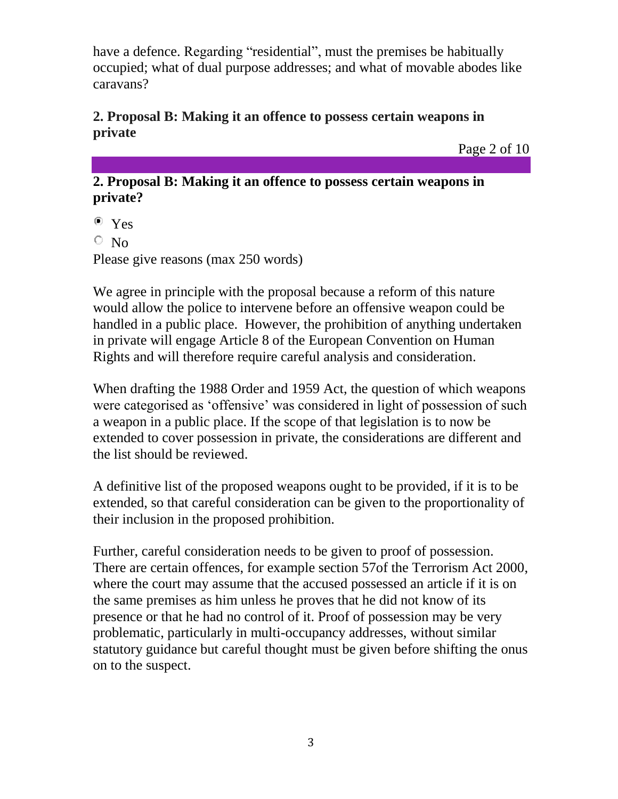have a defence. Regarding "residential", must the premises be habitually occupied; what of dual purpose addresses; and what of movable abodes like caravans?

### **2. Proposal B: Making it an offence to possess certain weapons in private**

Page 2 of 10

#### **2. Proposal B: Making it an offence to possess certain weapons in private?**

• Yes

 $\circ$  No

Please give reasons (max 250 words)

We agree in principle with the proposal because a reform of this nature would allow the police to intervene before an offensive weapon could be handled in a public place. However, the prohibition of anything undertaken in private will engage Article 8 of the European Convention on Human Rights and will therefore require careful analysis and consideration.

When drafting the 1988 Order and 1959 Act, the question of which weapons were categorised as 'offensive' was considered in light of possession of such a weapon in a public place. If the scope of that legislation is to now be extended to cover possession in private, the considerations are different and the list should be reviewed.

A definitive list of the proposed weapons ought to be provided, if it is to be extended, so that careful consideration can be given to the proportionality of their inclusion in the proposed prohibition.

Further, careful consideration needs to be given to proof of possession. There are certain offences, for example section 57of the Terrorism Act 2000, where the court may assume that the accused possessed an article if it is on the same premises as him unless he proves that he did not know of its presence or that he had no control of it. Proof of possession may be very problematic, particularly in multi-occupancy addresses, without similar statutory guidance but careful thought must be given before shifting the onus on to the suspect.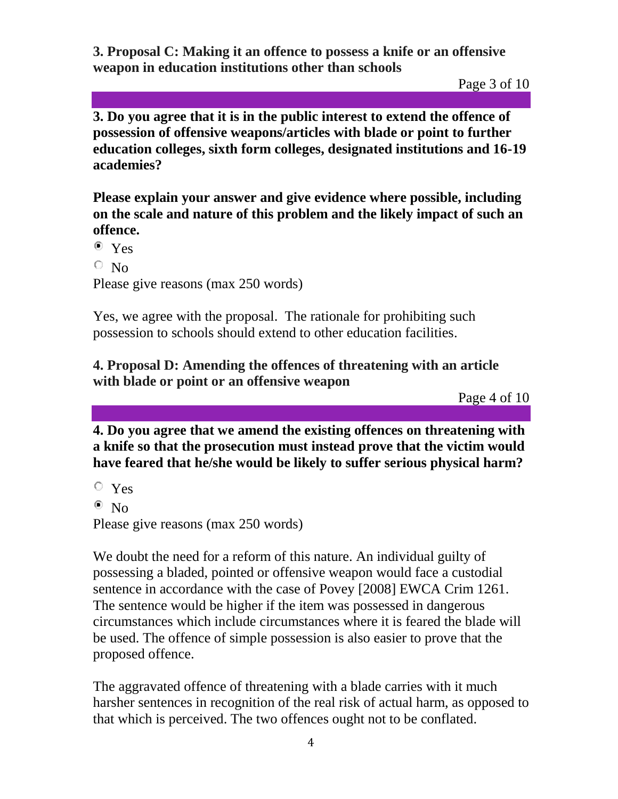**3. Proposal C: Making it an offence to possess a knife or an offensive weapon in education institutions other than schools**

Page 3 of 10

**3. Do you agree that it is in the public interest to extend the offence of possession of offensive weapons/articles with blade or point to further education colleges, sixth form colleges, designated institutions and 16-19 academies?**

**Please explain your answer and give evidence where possible, including on the scale and nature of this problem and the likely impact of such an offence.**

 $\bullet$  Yes

 $\circ$  No

Please give reasons (max 250 words)

Yes, we agree with the proposal. The rationale for prohibiting such possession to schools should extend to other education facilities.

### **4. Proposal D: Amending the offences of threatening with an article with blade or point or an offensive weapon**

Page 4 of 10

**4. Do you agree that we amend the existing offences on threatening with a knife so that the prosecution must instead prove that the victim would have feared that he/she would be likely to suffer serious physical harm?** 

Yes

 $\bullet$  No

Please give reasons (max 250 words)

We doubt the need for a reform of this nature. An individual guilty of possessing a bladed, pointed or offensive weapon would face a custodial sentence in accordance with the case of Povey [2008] EWCA Crim 1261. The sentence would be higher if the item was possessed in dangerous circumstances which include circumstances where it is feared the blade will be used. The offence of simple possession is also easier to prove that the proposed offence.

The aggravated offence of threatening with a blade carries with it much harsher sentences in recognition of the real risk of actual harm, as opposed to that which is perceived. The two offences ought not to be conflated.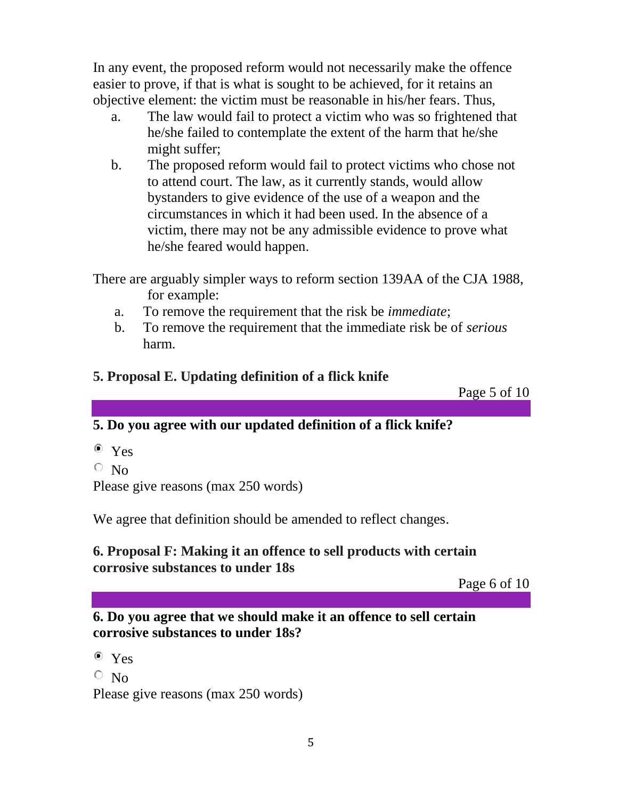In any event, the proposed reform would not necessarily make the offence easier to prove, if that is what is sought to be achieved, for it retains an objective element: the victim must be reasonable in his/her fears. Thus,

- a. The law would fail to protect a victim who was so frightened that he/she failed to contemplate the extent of the harm that he/she might suffer;
- b. The proposed reform would fail to protect victims who chose not to attend court. The law, as it currently stands, would allow bystanders to give evidence of the use of a weapon and the circumstances in which it had been used. In the absence of a victim, there may not be any admissible evidence to prove what he/she feared would happen.

There are arguably simpler ways to reform section 139AA of the CJA 1988, for example:

- a. To remove the requirement that the risk be *immediate*;
- b. To remove the requirement that the immediate risk be of *serious*  harm.
- **5. Proposal E. Updating definition of a flick knife**

Page 5 of 10

# **5. Do you agree with our updated definition of a flick knife?**

- Yes
- $\circ$  No

Please give reasons (max 250 words)

We agree that definition should be amended to reflect changes.

### **6. Proposal F: Making it an offence to sell products with certain corrosive substances to under 18s**

Page 6 of 10

### **6. Do you agree that we should make it an offence to sell certain corrosive substances to under 18s?**

Yes  $\circ$  No Please give reasons (max 250 words)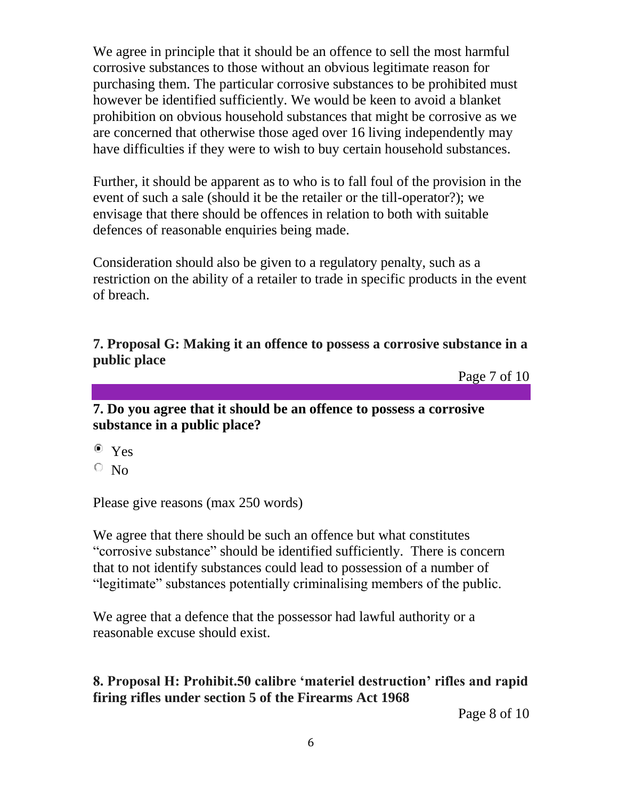We agree in principle that it should be an offence to sell the most harmful corrosive substances to those without an obvious legitimate reason for purchasing them. The particular corrosive substances to be prohibited must however be identified sufficiently. We would be keen to avoid a blanket prohibition on obvious household substances that might be corrosive as we are concerned that otherwise those aged over 16 living independently may have difficulties if they were to wish to buy certain household substances.

Further, it should be apparent as to who is to fall foul of the provision in the event of such a sale (should it be the retailer or the till-operator?); we envisage that there should be offences in relation to both with suitable defences of reasonable enquiries being made.

Consideration should also be given to a regulatory penalty, such as a restriction on the ability of a retailer to trade in specific products in the event of breach.

**7. Proposal G: Making it an offence to possess a corrosive substance in a public place** 

Page 7 of 10

**7. Do you agree that it should be an offence to possess a corrosive substance in a public place?** 

Yes

 $\circ$  No

Please give reasons (max 250 words)

We agree that there should be such an offence but what constitutes "corrosive substance" should be identified sufficiently. There is concern that to not identify substances could lead to possession of a number of "legitimate" substances potentially criminalising members of the public.

We agree that a defence that the possessor had lawful authority or a reasonable excuse should exist.

## **8. Proposal H: Prohibit.50 calibre 'materiel destruction' rifles and rapid firing rifles under section 5 of the Firearms Act 1968**

Page 8 of 10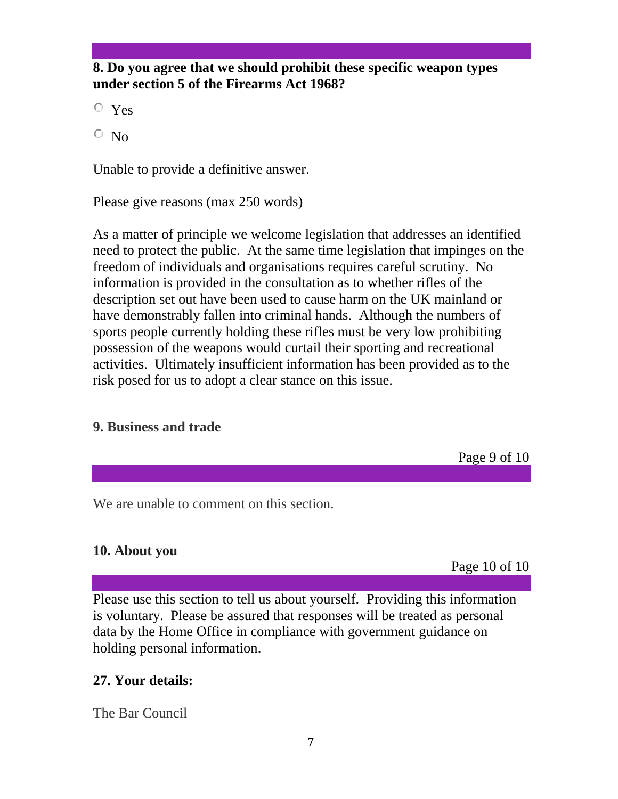#### **8. Do you agree that we should prohibit these specific weapon types under section 5 of the Firearms Act 1968?**

Yes

 $\overline{\circ}$  No

Unable to provide a definitive answer.

Please give reasons (max 250 words)

As a matter of principle we welcome legislation that addresses an identified need to protect the public. At the same time legislation that impinges on the freedom of individuals and organisations requires careful scrutiny. No information is provided in the consultation as to whether rifles of the description set out have been used to cause harm on the UK mainland or have demonstrably fallen into criminal hands. Although the numbers of sports people currently holding these rifles must be very low prohibiting possession of the weapons would curtail their sporting and recreational activities. Ultimately insufficient information has been provided as to the risk posed for us to adopt a clear stance on this issue.

# **9. Business and trade**

Page 9 of 10

We are unable to comment on this section.

## **10. About you**

Page 10 of 10

Please use this section to tell us about yourself. Providing this information is voluntary. Please be assured that responses will be treated as personal data by the Home Office in compliance with government guidance on holding personal information.

# **27. Your details:**

The Bar Council